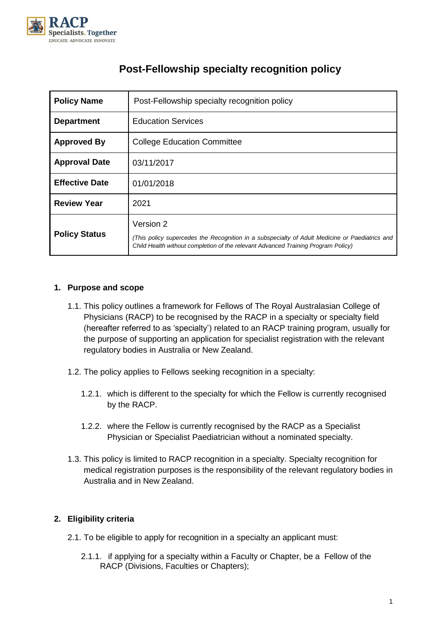

| <b>Policy Name</b>    | Post-Fellowship specialty recognition policy                                                                                                                                                     |
|-----------------------|--------------------------------------------------------------------------------------------------------------------------------------------------------------------------------------------------|
| <b>Department</b>     | <b>Education Services</b>                                                                                                                                                                        |
| <b>Approved By</b>    | <b>College Education Committee</b>                                                                                                                                                               |
| <b>Approval Date</b>  | 03/11/2017                                                                                                                                                                                       |
| <b>Effective Date</b> | 01/01/2018                                                                                                                                                                                       |
| <b>Review Year</b>    | 2021                                                                                                                                                                                             |
| <b>Policy Status</b>  | Version 2<br>(This policy supercedes the Recognition in a subspecialty of Adult Medicine or Paediatrics and<br>Child Health without completion of the relevant Advanced Training Program Policy) |

# **Post-Fellowship specialty recognition policy**

# **1. Purpose and scope**

- 1.1. This policy outlines a framework for Fellows of The Royal Australasian College of Physicians (RACP) to be recognised by the RACP in a specialty or specialty field (hereafter referred to as 'specialty') related to an RACP training program, usually for the purpose of supporting an application for specialist registration with the relevant regulatory bodies in Australia or New Zealand.
- 1.2. The policy applies to Fellows seeking recognition in a specialty:
	- 1.2.1. which is different to the specialty for which the Fellow is currently recognised by the RACP.
	- 1.2.2. where the Fellow is currently recognised by the RACP as a Specialist Physician or Specialist Paediatrician without a nominated specialty.
- 1.3. This policy is limited to RACP recognition in a specialty. Specialty recognition for medical registration purposes is the responsibility of the relevant regulatory bodies in Australia and in New Zealand.

# **2. Eligibility criteria**

- 2.1. To be eligible to apply for recognition in a specialty an applicant must:
	- 2.1.1. if applying for a specialty within a Faculty or Chapter, be a Fellow of the RACP (Divisions, Faculties or Chapters);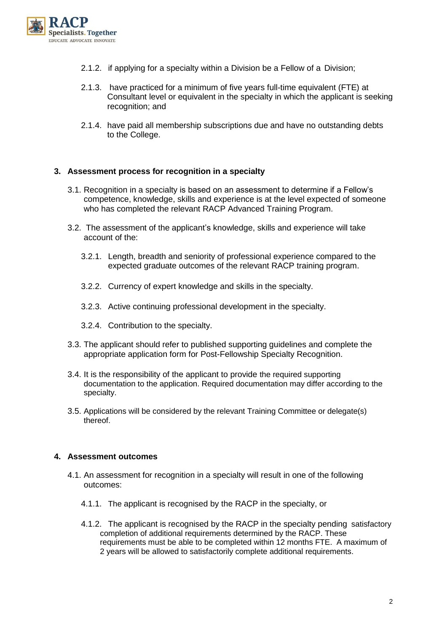

- 2.1.2. if applying for a specialty within a Division be a Fellow of a Division;
- 2.1.3. have practiced for a minimum of five years full-time equivalent (FTE) at Consultant level or equivalent in the specialty in which the applicant is seeking recognition; and
- 2.1.4. have paid all membership subscriptions due and have no outstanding debts to the College.

## **3. Assessment process for recognition in a specialty**

- 3.1. Recognition in a specialty is based on an assessment to determine if a Fellow's competence, knowledge, skills and experience is at the level expected of someone who has completed the relevant RACP Advanced Training Program.
- 3.2. The assessment of the applicant's knowledge, skills and experience will take account of the:
	- 3.2.1. Length, breadth and seniority of professional experience compared to the expected graduate outcomes of the relevant RACP training program.
	- 3.2.2. Currency of expert knowledge and skills in the specialty.
	- 3.2.3. Active continuing professional development in the specialty.
	- 3.2.4. Contribution to the specialty.
- 3.3. The applicant should refer to published supporting guidelines and complete the appropriate application form for Post-Fellowship Specialty Recognition.
- 3.4. It is the responsibility of the applicant to provide the required supporting documentation to the application. Required documentation may differ according to the specialty.
- 3.5. Applications will be considered by the relevant Training Committee or delegate(s) thereof.

#### **4. Assessment outcomes**

- 4.1. An assessment for recognition in a specialty will result in one of the following outcomes:
	- 4.1.1. The applicant is recognised by the RACP in the specialty, or
	- 4.1.2. The applicant is recognised by the RACP in the specialty pending satisfactory completion of additional requirements determined by the RACP. These requirements must be able to be completed within 12 months FTE. A maximum of 2 years will be allowed to satisfactorily complete additional requirements.